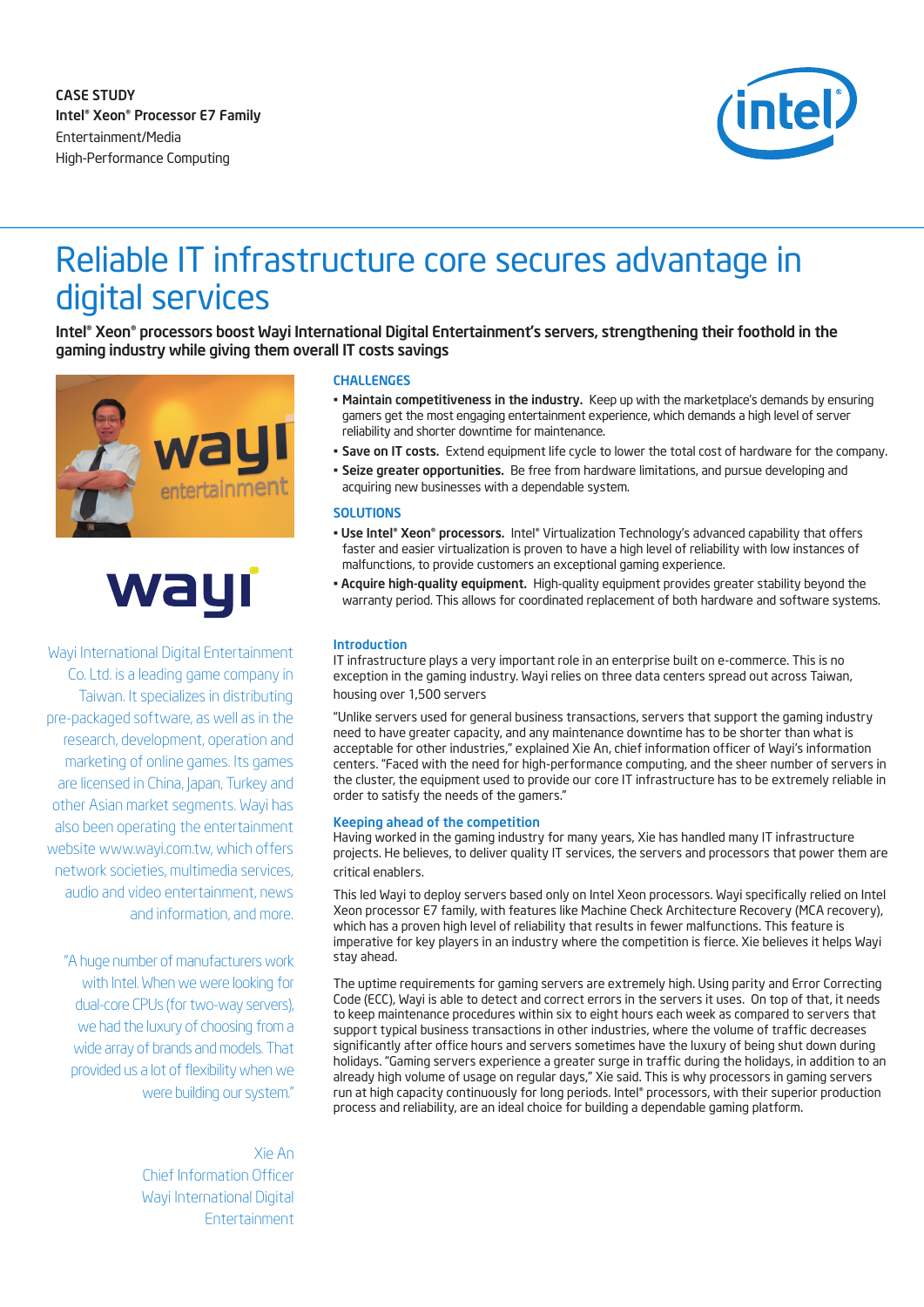CASE STUDY Intel® Xeon® Processor E7 Family Entertainment/Media High-Performance Computing



# Reliable IT infrastructure core secures advantage in digital services

Intel® Xeon® processors boost Wayi International Digital Entertainment's servers, strengthening their foothold in the gaming industry while giving them overall IT costs savings





Wayi International Digital Entertainment Co. Ltd. is a leading game company in Taiwan. It specializes in distributing pre-packaged software, as well as in the research, development, operation and marketing of online games. Its games are licensed in China, Japan, Turkey and other Asian market segments. Wayi has also been operating the entertainment website www.wayi.com.tw, which offers network societies, multimedia services, audio and video entertainment, news and information, and more.

"A huge number of manufacturers work with Intel. When we were looking for dual-core CPUs (for two-way servers), we had the luxury of choosing from a wide array of brands and models. That provided us a lot of flexibility when we were building our system."

> Xie An Chief Information Officer Wayi International Digital Entertainment

# CHALLENGES

- Maintain competitiveness in the industry. Keep up with the marketplace's demands by ensuring gamers get the most engaging entertainment experience, which demands a high level of server reliability and shorter downtime for maintenance.
- • Save on IT costs. Extend equipment life cycle to lower the total cost of hardware for the company.
- • Seize greater opportunities. Be free from hardware limitations, and pursue developing and acquiring new businesses with a dependable system.

#### **SOLUTIONS**

- Use Intel® Xeon® processors. Intel® Virtualization Technology's advanced capability that offers faster and easier virtualization is proven to have a high level of reliability with low instances of malfunctions, to provide customers an exceptional gaming experience.
- Acquire high-quality equipment. High-quality equipment provides greater stability beyond the warranty period. This allows for coordinated replacement of both hardware and software systems.

#### Introduction

IT infrastructure plays a very important role in an enterprise built on e-commerce. This is no exception in the gaming industry. Wayi relies on three data centers spread out across Taiwan, housing over 1,500 servers

"Unlike servers used for general business transactions, servers that support the gaming industry need to have greater capacity, and any maintenance downtime has to be shorter than what is acceptable for other industries," explained Xie An, chief information officer of Wayi's information centers. "Faced with the need for high-performance computing, and the sheer number of servers in the cluster, the equipment used to provide our core IT infrastructure has to be extremely reliable in order to satisfy the needs of the gamers."

#### Keeping ahead of the competition

Having worked in the gaming industry for many years, Xie has handled many IT infrastructure projects. He believes, to deliver quality IT services, the servers and processors that power them are critical enablers.

This led Wayi to deploy servers based only on Intel Xeon processors. Wayi specifically relied on Intel Xeon processor E7 family, with features like Machine Check Architecture Recovery (MCA recovery), which has a proven high level of reliability that results in fewer malfunctions. This feature is imperative for key players in an industry where the competition is fierce. Xie believes it helps Wayi stay ahead.

The uptime requirements for gaming servers are extremely high. Using parity and Error Correcting Code (ECC), Wayi is able to detect and correct errors in the servers it uses. On top of that, it needs to keep maintenance procedures within six to eight hours each week as compared to servers that support typical business transactions in other industries, where the volume of traffic decreases significantly after office hours and servers sometimes have the luxury of being shut down during holidays. "Gaming servers experience a greater surge in traffic during the holidays, in addition to an already high volume of usage on regular days," Xie said. This is why processors in gaming servers run at high capacity continuously for long periods. Intel® processors, with their superior production process and reliability, are an ideal choice for building a dependable gaming platform.